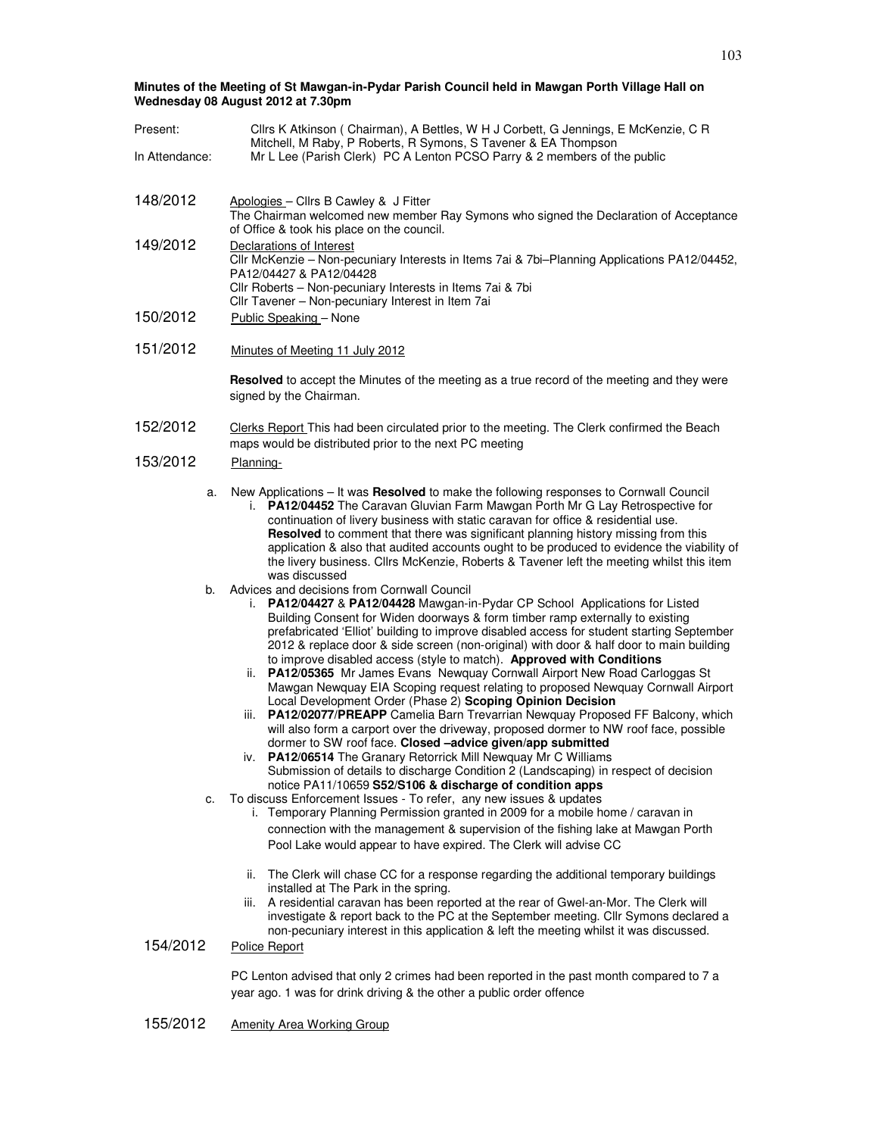**Minutes of the Meeting of St Mawgan-in-Pydar Parish Council held in Mawgan Porth Village Hall on Wednesday 08 August 2012 at 7.30pm** 

| Present:       | Cllrs K Atkinson (Chairman), A Bettles, W H J Corbett, G Jennings, E McKenzie, C R                                                                                                                                                                                                                                                                                                                                                                                                                                                                                                                                                                                                                                                                                                                                                                                                                                                                                                                                                                                                                                                                                                                                                                                                                                                                                                                                                                                                                          |  |
|----------------|-------------------------------------------------------------------------------------------------------------------------------------------------------------------------------------------------------------------------------------------------------------------------------------------------------------------------------------------------------------------------------------------------------------------------------------------------------------------------------------------------------------------------------------------------------------------------------------------------------------------------------------------------------------------------------------------------------------------------------------------------------------------------------------------------------------------------------------------------------------------------------------------------------------------------------------------------------------------------------------------------------------------------------------------------------------------------------------------------------------------------------------------------------------------------------------------------------------------------------------------------------------------------------------------------------------------------------------------------------------------------------------------------------------------------------------------------------------------------------------------------------------|--|
| In Attendance: | Mitchell, M Raby, P Roberts, R Symons, S Tavener & EA Thompson<br>Mr L Lee (Parish Clerk) PC A Lenton PCSO Parry & 2 members of the public                                                                                                                                                                                                                                                                                                                                                                                                                                                                                                                                                                                                                                                                                                                                                                                                                                                                                                                                                                                                                                                                                                                                                                                                                                                                                                                                                                  |  |
| 148/2012       | Apologies - Cllrs B Cawley & J Fitter<br>The Chairman welcomed new member Ray Symons who signed the Declaration of Acceptance<br>of Office & took his place on the council.                                                                                                                                                                                                                                                                                                                                                                                                                                                                                                                                                                                                                                                                                                                                                                                                                                                                                                                                                                                                                                                                                                                                                                                                                                                                                                                                 |  |
| 149/2012       | Declarations of Interest<br>Cllr McKenzie - Non-pecuniary Interests in Items 7ai & 7bi-Planning Applications PA12/04452,<br>PA12/04427 & PA12/04428<br>Cllr Roberts - Non-pecuniary Interests in Items 7ai & 7bi<br>Cllr Tavener - Non-pecuniary Interest in Item 7ai                                                                                                                                                                                                                                                                                                                                                                                                                                                                                                                                                                                                                                                                                                                                                                                                                                                                                                                                                                                                                                                                                                                                                                                                                                       |  |
| 150/2012       | Public Speaking - None                                                                                                                                                                                                                                                                                                                                                                                                                                                                                                                                                                                                                                                                                                                                                                                                                                                                                                                                                                                                                                                                                                                                                                                                                                                                                                                                                                                                                                                                                      |  |
| 151/2012       | Minutes of Meeting 11 July 2012                                                                                                                                                                                                                                                                                                                                                                                                                                                                                                                                                                                                                                                                                                                                                                                                                                                                                                                                                                                                                                                                                                                                                                                                                                                                                                                                                                                                                                                                             |  |
|                | <b>Resolved</b> to accept the Minutes of the meeting as a true record of the meeting and they were<br>signed by the Chairman.                                                                                                                                                                                                                                                                                                                                                                                                                                                                                                                                                                                                                                                                                                                                                                                                                                                                                                                                                                                                                                                                                                                                                                                                                                                                                                                                                                               |  |
| 152/2012       | Clerks Report This had been circulated prior to the meeting. The Clerk confirmed the Beach<br>maps would be distributed prior to the next PC meeting                                                                                                                                                                                                                                                                                                                                                                                                                                                                                                                                                                                                                                                                                                                                                                                                                                                                                                                                                                                                                                                                                                                                                                                                                                                                                                                                                        |  |
| 153/2012       | Planning-                                                                                                                                                                                                                                                                                                                                                                                                                                                                                                                                                                                                                                                                                                                                                                                                                                                                                                                                                                                                                                                                                                                                                                                                                                                                                                                                                                                                                                                                                                   |  |
| a.             | New Applications - It was Resolved to make the following responses to Cornwall Council<br>PA12/04452 The Caravan Gluvian Farm Mawgan Porth Mr G Lay Retrospective for<br>i.<br>continuation of livery business with static caravan for office & residential use.<br>Resolved to comment that there was significant planning history missing from this<br>application & also that audited accounts ought to be produced to evidence the viability of<br>the livery business. Cllrs McKenzie, Roberts & Tavener left the meeting whilst this item<br>was discussed                                                                                                                                                                                                                                                                                                                                                                                                                                                                                                                                                                                                                                                                                                                                                                                                                                                                                                                                            |  |
| b.<br>c.       | Advices and decisions from Cornwall Council<br>PA12/04427 & PA12/04428 Mawgan-in-Pydar CP School Applications for Listed<br>İ.<br>Building Consent for Widen doorways & form timber ramp externally to existing<br>prefabricated 'Elliot' building to improve disabled access for student starting September<br>2012 & replace door & side screen (non-original) with door & half door to main building<br>to improve disabled access (style to match). Approved with Conditions<br>PA12/05365 Mr James Evans Newquay Cornwall Airport New Road Carloggas St<br>ii.<br>Mawgan Newquay EIA Scoping request relating to proposed Newquay Cornwall Airport<br>Local Development Order (Phase 2) Scoping Opinion Decision<br>iii. PA12/02077/PREAPP Camelia Barn Trevarrian Newquay Proposed FF Balcony, which<br>will also form a carport over the driveway, proposed dormer to NW roof face, possible<br>dormer to SW roof face. Closed -advice given/app submitted<br>PA12/06514 The Granary Retorrick Mill Newquay Mr C Williams<br>IV.<br>Submission of details to discharge Condition 2 (Landscaping) in respect of decision<br>notice PA11/10659 S52/S106 & discharge of condition apps<br>To discuss Enforcement Issues - To refer, any new issues & updates<br>i. Temporary Planning Permission granted in 2009 for a mobile home / caravan in<br>connection with the management & supervision of the fishing lake at Mawgan Porth<br>Pool Lake would appear to have expired. The Clerk will advise CC |  |
| 154/2012       | The Clerk will chase CC for a response regarding the additional temporary buildings<br>ii.<br>installed at The Park in the spring.<br>iii. A residential caravan has been reported at the rear of Gwel-an-Mor. The Clerk will<br>investigate & report back to the PC at the September meeting. Cllr Symons declared a<br>non-pecuniary interest in this application & left the meeting whilst it was discussed.<br>Police Report                                                                                                                                                                                                                                                                                                                                                                                                                                                                                                                                                                                                                                                                                                                                                                                                                                                                                                                                                                                                                                                                            |  |
|                | PC Lenton advised that only 2 crimes had been reported in the past month compared to 7 a<br>year ago. 1 was for drink driving & the other a public order offence                                                                                                                                                                                                                                                                                                                                                                                                                                                                                                                                                                                                                                                                                                                                                                                                                                                                                                                                                                                                                                                                                                                                                                                                                                                                                                                                            |  |

155/2012 Amenity Area Working Group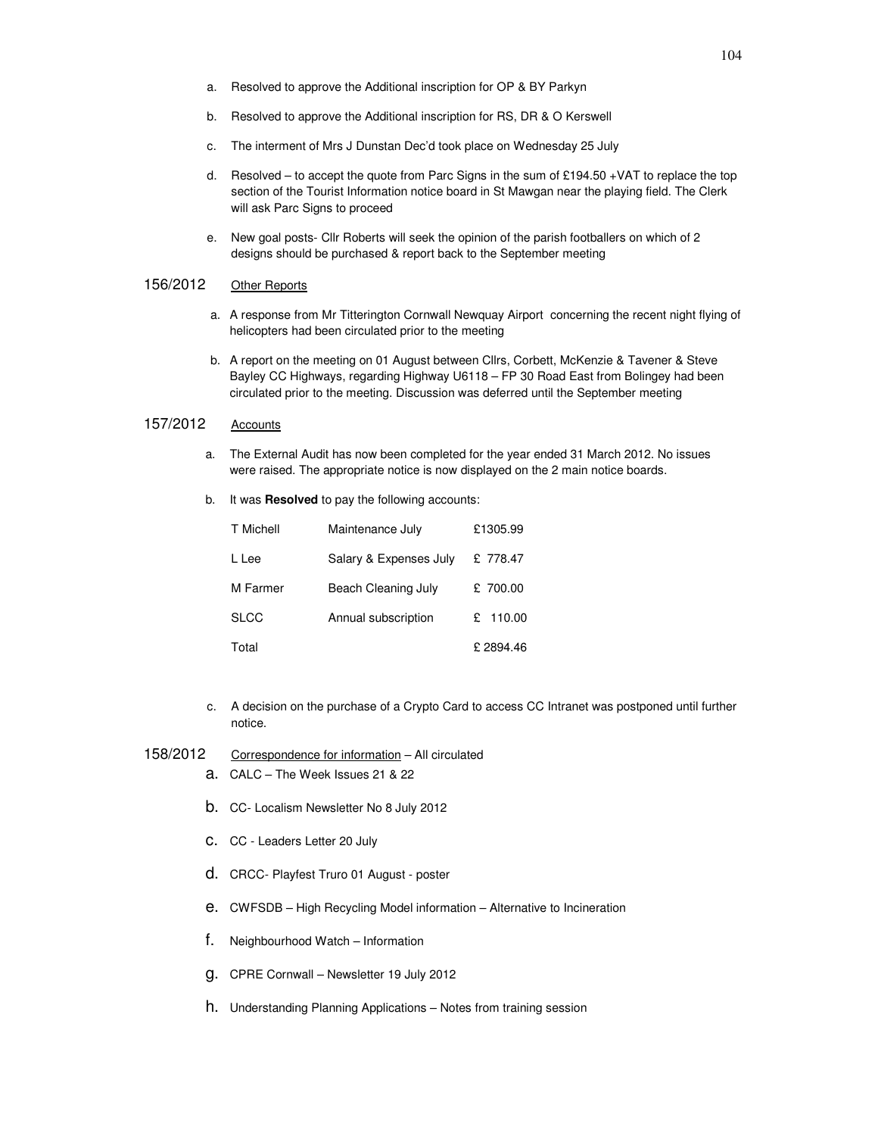- a. Resolved to approve the Additional inscription for OP & BY Parkyn
- b. Resolved to approve the Additional inscription for RS, DR & O Kerswell
- c. The interment of Mrs J Dunstan Dec'd took place on Wednesday 25 July
- d. Resolved to accept the quote from Parc Signs in the sum of £194.50 +VAT to replace the top section of the Tourist Information notice board in St Mawgan near the playing field. The Clerk will ask Parc Signs to proceed
- e. New goal posts- Cllr Roberts will seek the opinion of the parish footballers on which of 2 designs should be purchased & report back to the September meeting

## 156/2012 Other Reports

- a. A response from Mr Titterington Cornwall Newquay Airport concerning the recent night flying of helicopters had been circulated prior to the meeting
- b. A report on the meeting on 01 August between Cllrs, Corbett, McKenzie & Tavener & Steve Bayley CC Highways, regarding Highway U6118 – FP 30 Road East from Bolingey had been circulated prior to the meeting. Discussion was deferred until the September meeting

## 157/2012 Accounts

- a. The External Audit has now been completed for the year ended 31 March 2012. No issues were raised. The appropriate notice is now displayed on the 2 main notice boards.
- b. It was **Resolved** to pay the following accounts:

| T Michell | Maintenance July       | £1305.99 |
|-----------|------------------------|----------|
| L Lee     | Salary & Expenses July | £ 778.47 |
| M Farmer  | Beach Cleaning July    | £ 700.00 |
| SLCC      | Annual subscription    | £ 110.00 |
| Total     |                        | £2894.46 |

- c. A decision on the purchase of a Crypto Card to access CC Intranet was postponed until further notice.
- 158/2012 Correspondence for information All circulated
	- a. CALC The Week Issues 21 & 22
	- b. CC- Localism Newsletter No 8 July 2012
	- c. CC Leaders Letter 20 July
	- d. CRCC- Playfest Truro 01 August poster
	- e. CWFSDB High Recycling Model information Alternative to Incineration
	- f. Neighbourhood Watch Information
	- g. CPRE Cornwall Newsletter 19 July 2012
	- h. Understanding Planning Applications Notes from training session